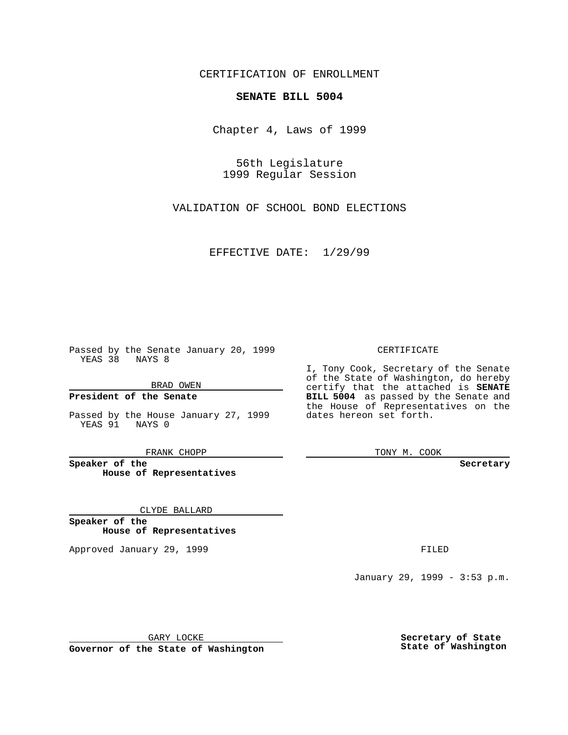CERTIFICATION OF ENROLLMENT

## **SENATE BILL 5004**

Chapter 4, Laws of 1999

56th Legislature 1999 Regular Session

VALIDATION OF SCHOOL BOND ELECTIONS

EFFECTIVE DATE: 1/29/99

Passed by the Senate January 20, 1999 YEAS 38 NAYS 8

BRAD OWEN

**President of the Senate**

Passed by the House January 27, 1999 YEAS 91 NAYS 0

FRANK CHOPP

**Speaker of the House of Representatives**

CLYDE BALLARD

**Speaker of the House of Representatives**

Approved January 29, 1999 **FILED** 

CERTIFICATE

I, Tony Cook, Secretary of the Senate of the State of Washington, do hereby certify that the attached is **SENATE BILL 5004** as passed by the Senate and the House of Representatives on the dates hereon set forth.

TONY M. COOK

**Secretary**

January 29, 1999 - 3:53 p.m.

GARY LOCKE

**Governor of the State of Washington**

**Secretary of State State of Washington**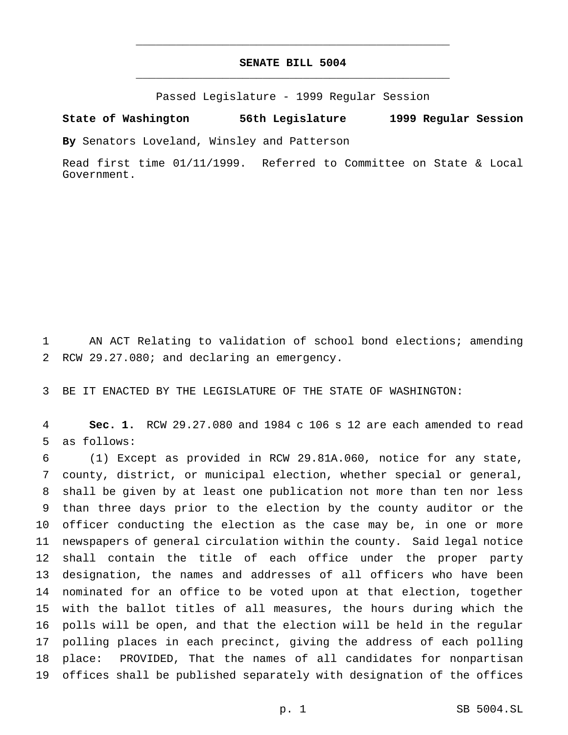## **SENATE BILL 5004** \_\_\_\_\_\_\_\_\_\_\_\_\_\_\_\_\_\_\_\_\_\_\_\_\_\_\_\_\_\_\_\_\_\_\_\_\_\_\_\_\_\_\_\_\_\_\_

\_\_\_\_\_\_\_\_\_\_\_\_\_\_\_\_\_\_\_\_\_\_\_\_\_\_\_\_\_\_\_\_\_\_\_\_\_\_\_\_\_\_\_\_\_\_\_

Passed Legislature - 1999 Regular Session

## **State of Washington 56th Legislature 1999 Regular Session**

**By** Senators Loveland, Winsley and Patterson

Read first time 01/11/1999. Referred to Committee on State & Local Government.

 AN ACT Relating to validation of school bond elections; amending RCW 29.27.080; and declaring an emergency.

BE IT ENACTED BY THE LEGISLATURE OF THE STATE OF WASHINGTON:

 **Sec. 1.** RCW 29.27.080 and 1984 c 106 s 12 are each amended to read as follows:

 (1) Except as provided in RCW 29.81A.060, notice for any state, county, district, or municipal election, whether special or general, shall be given by at least one publication not more than ten nor less than three days prior to the election by the county auditor or the officer conducting the election as the case may be, in one or more newspapers of general circulation within the county. Said legal notice shall contain the title of each office under the proper party designation, the names and addresses of all officers who have been nominated for an office to be voted upon at that election, together with the ballot titles of all measures, the hours during which the polls will be open, and that the election will be held in the regular polling places in each precinct, giving the address of each polling place: PROVIDED, That the names of all candidates for nonpartisan offices shall be published separately with designation of the offices